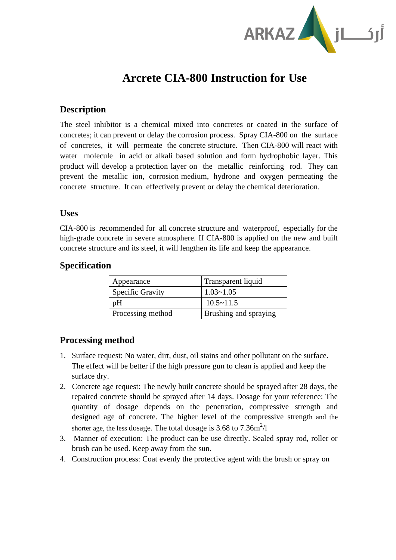

# **Arcrete CIA-800 Instruction for Use**

#### **Description**

The steel inhibitor is a chemical mixed into concretes or coated in the surface of concretes; it can prevent or delay the corrosion process. Spray CIA-800 on the surface of concretes, it will permeate the concrete structure. Then CIA-800 will react with water molecule in acid or alkali based solution and form hydrophobic layer. This product will develop a protection layer on the metallic reinforcing rod. They can prevent the metallic ion, corrosion medium, hydrone and oxygen permeating the concrete structure. It can effectively prevent or delay the chemical deterioration.

#### **Uses**

CIA-800 is recommended for all concrete structure and waterproof, especially for the high-grade concrete in severe atmosphere. If CIA-800 is applied on the new and built concrete structure and its steel, it will lengthen its life and keep the appearance.

#### **Specification**

| Appearance              | Transparent liquid    |
|-------------------------|-----------------------|
| <b>Specific Gravity</b> | $1.03 - 1.05$         |
| pH                      | $10.5 \sim 11.5$      |
| Processing method       | Brushing and spraying |

### **Processing method**

- 1. Surface request: No water, dirt, dust, oil stains and other pollutant on the surface. The effect will be better if the high pressure gun to clean is applied and keep the surface dry.
- 2. Concrete age request: The newly built concrete should be sprayed after 28 days, the repaired concrete should be sprayed after 14 days. Dosage for your reference: The quantity of dosage depends on the penetration, compressive strength and designed age of concrete. The higher level of the compressive strength and the shorter age, the less dosage. The total dosage is 3.68 to 7.36m<sup>2</sup>/l
- 3. Manner of execution: The product can be use directly. Sealed spray rod, roller or brush can be used. Keep away from the sun.
- 4. Construction process: Coat evenly the protective agent with the brush or spray on